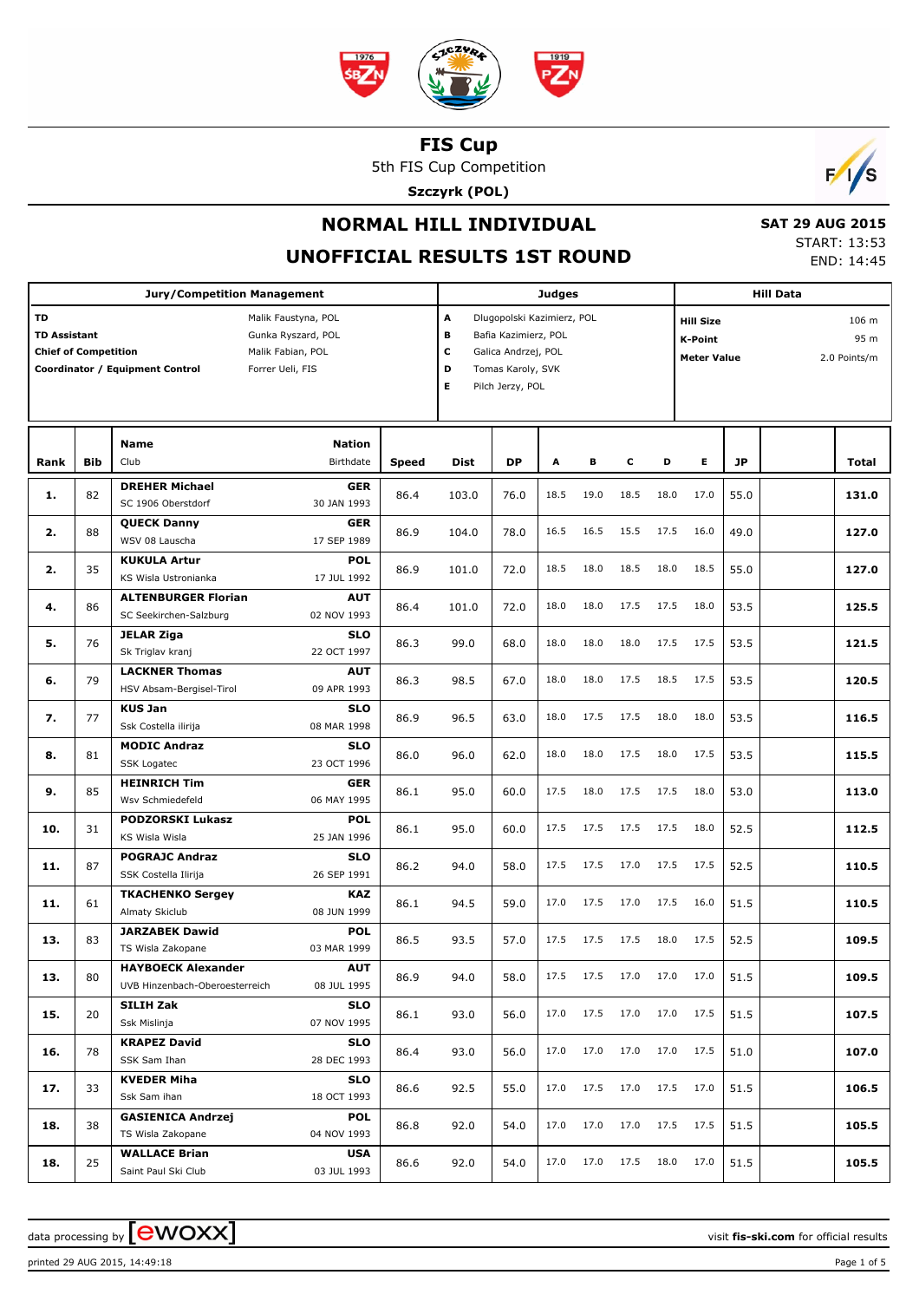

5th FIS Cup Competition

**Szczyrk (POL)**



## **NORMAL HILL INDIVIDUAL**

### **UNOFFICIAL RESULTS 1ST ROUND**

 **SAT 29 AUG 2015** START: 13:53 END: 14:45

|                                                          |            | <b>Jury/Competition Management</b>                                                                                    |              | <b>Judges</b>                              |                                                                                                |      |      | <b>Hill Data</b> |                                                                                           |      |      |  |       |
|----------------------------------------------------------|------------|-----------------------------------------------------------------------------------------------------------------------|--------------|--------------------------------------------|------------------------------------------------------------------------------------------------|------|------|------------------|-------------------------------------------------------------------------------------------|------|------|--|-------|
| TD<br><b>TD Assistant</b><br><b>Chief of Competition</b> |            | Malik Faustyna, POL<br>Gunka Ryszard, POL<br>Malik Fabian, POL<br>Coordinator / Equipment Control<br>Forrer Ueli, FIS |              | A<br>в<br>с<br>D<br>E.<br>Pilch Jerzy, POL | Dlugopolski Kazimierz, POL<br>Bafia Kazimierz, POL<br>Galica Andrzej, POL<br>Tomas Karoly, SVK |      |      |                  | <b>Hill Size</b><br>106 m<br>95 m<br><b>K-Point</b><br><b>Meter Value</b><br>2.0 Points/m |      |      |  |       |
| Rank                                                     | <b>Bib</b> | <b>Nation</b><br><b>Name</b><br>Club<br>Birthdate                                                                     | <b>Speed</b> | <b>Dist</b>                                | <b>DP</b>                                                                                      | А    | в    | c                | D                                                                                         | Е    | JP   |  | Total |
| 1.                                                       | 82         | <b>DREHER Michael</b><br>GER<br>SC 1906 Oberstdorf<br>30 JAN 1993                                                     | 86.4         | 103.0                                      | 76.0                                                                                           | 18.5 | 19.0 | 18.5             | 18.0                                                                                      | 17.0 | 55.0 |  | 131.0 |
| 2.                                                       | 88         | <b>QUECK Danny</b><br>GER<br>WSV 08 Lauscha<br>17 SEP 1989                                                            | 86.9         | 104.0                                      | 78.0                                                                                           | 16.5 | 16.5 | 15.5             | 17.5                                                                                      | 16.0 | 49.0 |  | 127.0 |
| 2.                                                       | 35         | <b>KUKULA Artur</b><br><b>POL</b><br>KS Wisla Ustronianka<br>17 JUL 1992                                              | 86.9         | 101.0                                      | 72.0                                                                                           | 18.5 | 18.0 | 18.5             | 18.0                                                                                      | 18.5 | 55.0 |  | 127.0 |
| 4.                                                       | 86         | <b>ALTENBURGER Florian</b><br><b>AUT</b><br>SC Seekirchen-Salzburg<br>02 NOV 1993                                     | 86.4         | 101.0                                      | 72.0                                                                                           | 18.0 | 18.0 | 17.5             | 17.5                                                                                      | 18.0 | 53.5 |  | 125.5 |
| 5.                                                       | 76         | <b>JELAR Ziga</b><br><b>SLO</b><br>Sk Triglav kranj<br>22 OCT 1997                                                    | 86.3         | 99.0                                       | 68.0                                                                                           | 18.0 | 18.0 | 18.0             | 17.5                                                                                      | 17.5 | 53.5 |  | 121.5 |
| 6.                                                       | 79         | <b>LACKNER Thomas</b><br><b>AUT</b><br>09 APR 1993<br>HSV Absam-Bergisel-Tirol                                        | 86.3         | 98.5                                       | 67.0                                                                                           | 18.0 | 18.0 | 17.5             | 18.5                                                                                      | 17.5 | 53.5 |  | 120.5 |
| 7.                                                       | 77         | <b>KUS Jan</b><br><b>SLO</b><br>08 MAR 1998<br>Ssk Costella ilirija                                                   | 86.9         | 96.5                                       | 63.0                                                                                           | 18.0 | 17.5 | 17.5             | 18.0                                                                                      | 18.0 | 53.5 |  | 116.5 |
| 8.                                                       | 81         | <b>MODIC Andraz</b><br><b>SLO</b><br>23 OCT 1996<br><b>SSK Logatec</b>                                                | 86.0         | 96.0                                       | 62.0                                                                                           | 18.0 | 18.0 | 17.5             | 18.0                                                                                      | 17.5 | 53.5 |  | 115.5 |
| 9.                                                       | 85         | <b>HEINRICH Tim</b><br><b>GER</b><br>06 MAY 1995<br>Wsv Schmiedefeld                                                  | 86.1         | 95.0                                       | 60.0                                                                                           | 17.5 | 18.0 | 17.5             | 17.5                                                                                      | 18.0 | 53.0 |  | 113.0 |
| 10.                                                      | 31         | <b>PODZORSKI Lukasz</b><br><b>POL</b><br>KS Wisla Wisla<br>25 JAN 1996                                                | 86.1         | 95.0                                       | 60.0                                                                                           | 17.5 | 17.5 | 17.5             | 17.5                                                                                      | 18.0 | 52.5 |  | 112.5 |
| 11.                                                      | 87         | <b>POGRAJC Andraz</b><br><b>SLO</b><br>26 SEP 1991<br>SSK Costella Ilirija                                            | 86.2         | 94.0                                       | 58.0                                                                                           | 17.5 | 17.5 | 17.0             | 17.5                                                                                      | 17.5 | 52.5 |  | 110.5 |
| 11.                                                      | 61         | <b>TKACHENKO Sergey</b><br><b>KAZ</b><br>Almaty Skiclub<br>08 JUN 1999                                                | 86.1         | 94.5                                       | 59.0                                                                                           | 17.0 | 17.5 | 17.0             | 17.5                                                                                      | 16.0 | 51.5 |  | 110.5 |
| 13.                                                      | 83         | <b>JARZABEK Dawid</b><br><b>POL</b><br>03 MAR 1999<br>TS Wisla Zakopane                                               | 86.5         | 93.5                                       | 57.0                                                                                           | 17.5 | 17.5 | 17.5             | 18.0                                                                                      | 17.5 | 52.5 |  | 109.5 |
| 13.                                                      | 80         | <b>HAYBOECK Alexander</b><br>AUT<br>08 JUL 1995<br>UVB Hinzenbach-Oberoesterreich                                     | 86.9         | 94.0                                       | 58.0                                                                                           | 17.5 | 17.5 | 17.0             | 17.0                                                                                      | 17.0 | 51.5 |  | 109.5 |
| 15.                                                      | 20         | SILIH Zak<br><b>SLO</b><br>Ssk Mislinja<br>07 NOV 1995                                                                | 86.1         | 93.0                                       | 56.0                                                                                           | 17.0 | 17.5 | 17.0             | 17.0                                                                                      | 17.5 | 51.5 |  | 107.5 |
| 16.                                                      | 78         | <b>KRAPEZ David</b><br><b>SLO</b><br>SSK Sam Ihan<br>28 DEC 1993                                                      | 86.4         | 93.0                                       | 56.0                                                                                           | 17.0 | 17.0 | 17.0             | 17.0                                                                                      | 17.5 | 51.0 |  | 107.0 |
| 17.                                                      | 33         | <b>KVEDER Miha</b><br><b>SLO</b><br>18 OCT 1993<br>Ssk Sam ihan                                                       | 86.6         | 92.5                                       | 55.0                                                                                           | 17.0 | 17.5 | 17.0             | 17.5                                                                                      | 17.0 | 51.5 |  | 106.5 |
| 18.                                                      | 38         | <b>GASIENICA Andrzej</b><br><b>POL</b><br>04 NOV 1993<br>TS Wisla Zakopane                                            | 86.8         | 92.0                                       | 54.0                                                                                           | 17.0 | 17.0 | 17.0             | 17.5                                                                                      | 17.5 | 51.5 |  | 105.5 |
| 18.                                                      | 25         | <b>WALLACE Brian</b><br><b>USA</b><br>Saint Paul Ski Club<br>03 JUL 1993                                              | 86.6         | 92.0                                       | 54.0                                                                                           | 17.0 | 17.0 | 17.5             | 18.0                                                                                      | 17.0 | 51.5 |  | 105.5 |

data processing by **CWOXX**  $\blacksquare$  **CWOXX** atta **compared to the set of the set of the set of official results**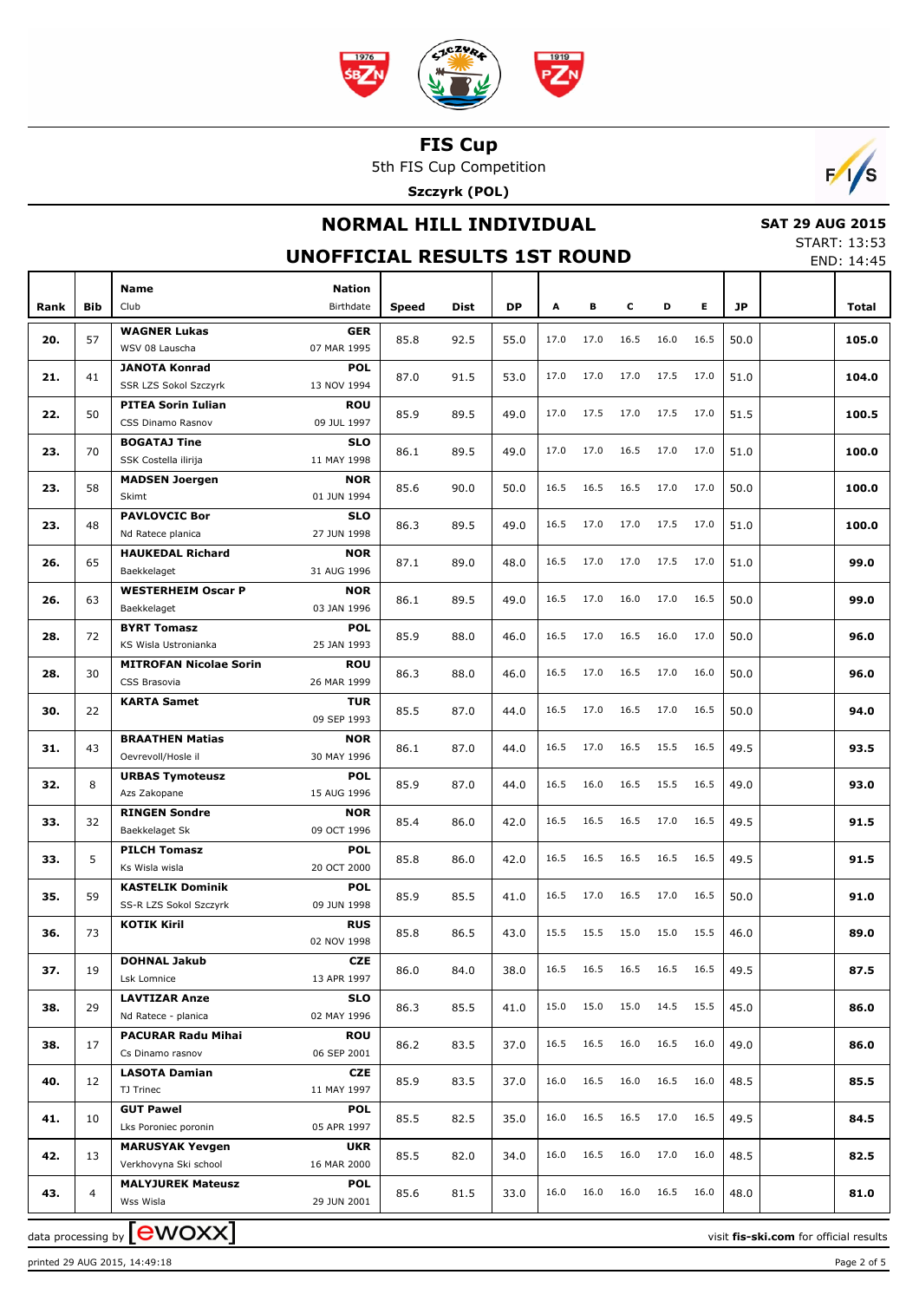

5th FIS Cup Competition

**Szczyrk (POL)**



## **NORMAL HILL INDIVIDUAL**

 **SAT 29 AUG 2015** START: 13:53

END: 14:45

### **UNOFFICIAL RESULTS 1ST ROUND**

|      |            | <b>Name</b>                                 | <b>Nation</b>             |              |             |           |      |      |      |           |      |      |       |
|------|------------|---------------------------------------------|---------------------------|--------------|-------------|-----------|------|------|------|-----------|------|------|-------|
| Rank | <b>Bib</b> | Club                                        | Birthdate                 | <b>Speed</b> | <b>Dist</b> | <b>DP</b> | A    | в    | c    | D         | E.   | JP   | Total |
| 20.  | 57         | <b>WAGNER Lukas</b>                         | <b>GER</b>                | 85.8         | 92.5        | 55.0      | 17.0 | 17.0 | 16.5 | 16.0      | 16.5 | 50.0 | 105.0 |
|      |            | WSV 08 Lauscha                              | 07 MAR 1995               |              |             |           |      |      |      |           |      |      |       |
| 21.  | 41         | <b>JANOTA Konrad</b>                        | <b>POL</b>                | 87.0         | 91.5        | 53.0      | 17.0 | 17.0 | 17.0 | 17.5      | 17.0 | 51.0 | 104.0 |
|      |            | SSR LZS Sokol Szczyrk                       | 13 NOV 1994               |              |             |           |      |      |      |           |      |      |       |
| 22.  | 50         | <b>PITEA Sorin Iulian</b>                   | <b>ROU</b>                | 85.9         | 89.5        | 49.0      | 17.0 | 17.5 | 17.0 | 17.5      | 17.0 | 51.5 | 100.5 |
|      |            | CSS Dinamo Rasnov                           | 09 JUL 1997               |              |             |           |      |      |      |           |      |      |       |
| 23.  | 70         | <b>BOGATAJ Tine</b><br>SSK Costella ilirija | <b>SLO</b><br>11 MAY 1998 | 86.1         | 89.5        | 49.0      | 17.0 | 17.0 | 16.5 | 17.0      | 17.0 | 51.0 | 100.0 |
|      |            |                                             | <b>NOR</b>                |              |             |           |      |      |      |           |      |      |       |
| 23.  | 58         | <b>MADSEN Joergen</b><br>Skimt              | 01 JUN 1994               | 85.6         | 90.0        | 50.0      | 16.5 | 16.5 | 16.5 | 17.0      | 17.0 | 50.0 | 100.0 |
|      |            | <b>PAVLOVCIC Bor</b>                        | <b>SLO</b>                |              |             |           |      |      |      |           |      |      |       |
| 23.  | 48         | Nd Ratece planica                           | 27 JUN 1998               | 86.3         | 89.5        | 49.0      | 16.5 | 17.0 | 17.0 | 17.5      | 17.0 | 51.0 | 100.0 |
|      |            | <b>HAUKEDAL Richard</b>                     | <b>NOR</b>                |              |             |           |      |      |      |           |      |      |       |
| 26.  | 65         | Baekkelaget                                 | 31 AUG 1996               | 87.1         | 89.0        | 48.0      | 16.5 | 17.0 | 17.0 | 17.5      | 17.0 | 51.0 | 99.0  |
|      |            | <b>WESTERHEIM Oscar P</b>                   | <b>NOR</b>                |              |             |           |      |      |      |           |      |      |       |
| 26.  | 63         | Baekkelaget                                 | 03 JAN 1996               | 86.1         | 89.5        | 49.0      | 16.5 | 17.0 | 16.0 | 17.0      | 16.5 | 50.0 | 99.0  |
|      |            | <b>BYRT Tomasz</b>                          | <b>POL</b>                | 85.9         |             | 46.0      | 16.5 | 17.0 | 16.5 | 16.0      | 17.0 | 50.0 | 96.0  |
| 28.  | 72         | KS Wisla Ustronianka                        | 25 JAN 1993               |              | 88.0        |           |      |      |      |           |      |      |       |
| 28.  | 30         | <b>MITROFAN Nicolae Sorin</b>               | <b>ROU</b>                | 86.3         | 88.0        | 46.0      | 16.5 | 17.0 | 16.5 | 17.0      | 16.0 | 50.0 | 96.0  |
|      |            | CSS Brasovia                                | 26 MAR 1999               |              |             |           |      |      |      |           |      |      |       |
| 30.  | 22         | <b>KARTA Samet</b>                          | <b>TUR</b>                | 85.5         | 87.0        | 44.0      | 16.5 | 17.0 | 16.5 | 17.0      | 16.5 | 50.0 | 94.0  |
|      |            |                                             | 09 SEP 1993               |              |             |           |      |      |      |           |      |      |       |
| 31.  | 43         | <b>BRAATHEN Matias</b>                      | <b>NOR</b>                | 86.1         | 87.0        | 44.0      | 16.5 | 17.0 | 16.5 | 15.5      | 16.5 | 49.5 | 93.5  |
|      |            | Oevrevoll/Hosle il                          | 30 MAY 1996               |              |             |           |      |      |      |           |      |      |       |
| 32.  | 8          | <b>URBAS Tymoteusz</b>                      | <b>POL</b>                | 85.9         | 87.0        | 44.0      | 16.5 | 16.0 | 16.5 | 15.5      | 16.5 | 49.0 | 93.0  |
|      |            | Azs Zakopane<br><b>RINGEN Sondre</b>        | 15 AUG 1996<br><b>NOR</b> |              |             |           |      |      |      |           |      |      |       |
| 33.  | 32         | Baekkelaget Sk                              | 09 OCT 1996               | 85.4         | 86.0        | 42.0      | 16.5 | 16.5 | 16.5 | 17.0      | 16.5 | 49.5 | 91.5  |
|      |            | <b>PILCH Tomasz</b>                         | <b>POL</b>                |              |             |           |      |      |      |           |      |      |       |
| 33.  | 5          | Ks Wisla wisla                              | 20 OCT 2000               | 85.8         | 86.0        | 42.0      | 16.5 | 16.5 | 16.5 | 16.5      | 16.5 | 49.5 | 91.5  |
|      |            | <b>KASTELIK Dominik</b>                     | <b>POL</b>                |              |             |           |      |      |      |           |      |      |       |
| 35.  | 59         | SS-R LZS Sokol Szczyrk                      | 09 JUN 1998               | 85.9         | 85.5        | 41.0      | 16.5 | 17.0 | 16.5 | 17.0      | 16.5 | 50.0 | 91.0  |
|      |            | <b>KOTIK Kiril</b>                          | <b>RUS</b>                |              |             |           |      |      |      |           |      |      |       |
| 36.  | 73         |                                             | 02 NOV 1998               | 85.8         | 86.5        | 43.0      | 15.5 | 15.5 | 15.0 | 15.0      | 15.5 | 46.0 | 89.0  |
| 37.  | 19         | <b>DOHNAL Jakub</b>                         | <b>CZE</b>                | 86.0         | 84.0        | 38.0      | 16.5 | 16.5 | 16.5 | 16.5      | 16.5 | 49.5 | 87.5  |
|      |            | Lsk Lomnice                                 | 13 APR 1997               |              |             |           |      |      |      |           |      |      |       |
| 38.  | 29         | <b>LAVTIZAR Anze</b>                        | <b>SLO</b>                | 86.3         | 85.5        | 41.0      | 15.0 | 15.0 | 15.0 | 14.5 15.5 |      | 45.0 | 86.0  |
|      |            | Nd Ratece - planica                         | 02 MAY 1996               |              |             |           |      |      |      |           |      |      |       |
| 38.  | 17         | <b>PACURAR Radu Mihai</b>                   | ROU                       | 86.2         | 83.5        | 37.0      | 16.5 | 16.5 | 16.0 | 16.5      | 16.0 | 49.0 | 86.0  |
|      |            | Cs Dinamo rasnov                            | 06 SEP 2001               |              |             |           |      |      |      |           |      |      |       |
| 40.  | 12         | <b>LASOTA Damian</b><br>TJ Trinec           | CZE                       | 85.9         | 83.5        | 37.0      | 16.0 | 16.5 | 16.0 | 16.5      | 16.0 | 48.5 | 85.5  |
|      |            | <b>GUT Pawel</b>                            | 11 MAY 1997               |              |             |           |      |      |      |           |      |      |       |
| 41.  | 10         | Lks Poroniec poronin                        | POL<br>05 APR 1997        | 85.5         | 82.5        | 35.0      | 16.0 | 16.5 | 16.5 | 17.0      | 16.5 | 49.5 | 84.5  |
|      |            | <b>MARUSYAK Yevgen</b>                      | <b>UKR</b>                |              |             |           |      |      |      |           |      |      |       |
| 42.  | 13         | Verkhovyna Ski school                       | 16 MAR 2000               | 85.5         | 82.0        | 34.0      | 16.0 | 16.5 | 16.0 | 17.0      | 16.0 | 48.5 | 82.5  |
|      |            | <b>MALYJUREK Mateusz</b>                    | <b>POL</b>                |              |             |           |      |      |      |           |      |      |       |
| 43.  | 4          | Wss Wisla                                   | 29 JUN 2001               | 85.6         | 81.5        | 33.0      | 16.0 | 16.0 | 16.0 | 16.5      | 16.0 | 48.0 | 81.0  |
|      |            |                                             |                           |              |             |           |      |      |      |           |      |      |       |

data processing by **CWOXX** and the set of the set of the visit **fis-ski.com** for official results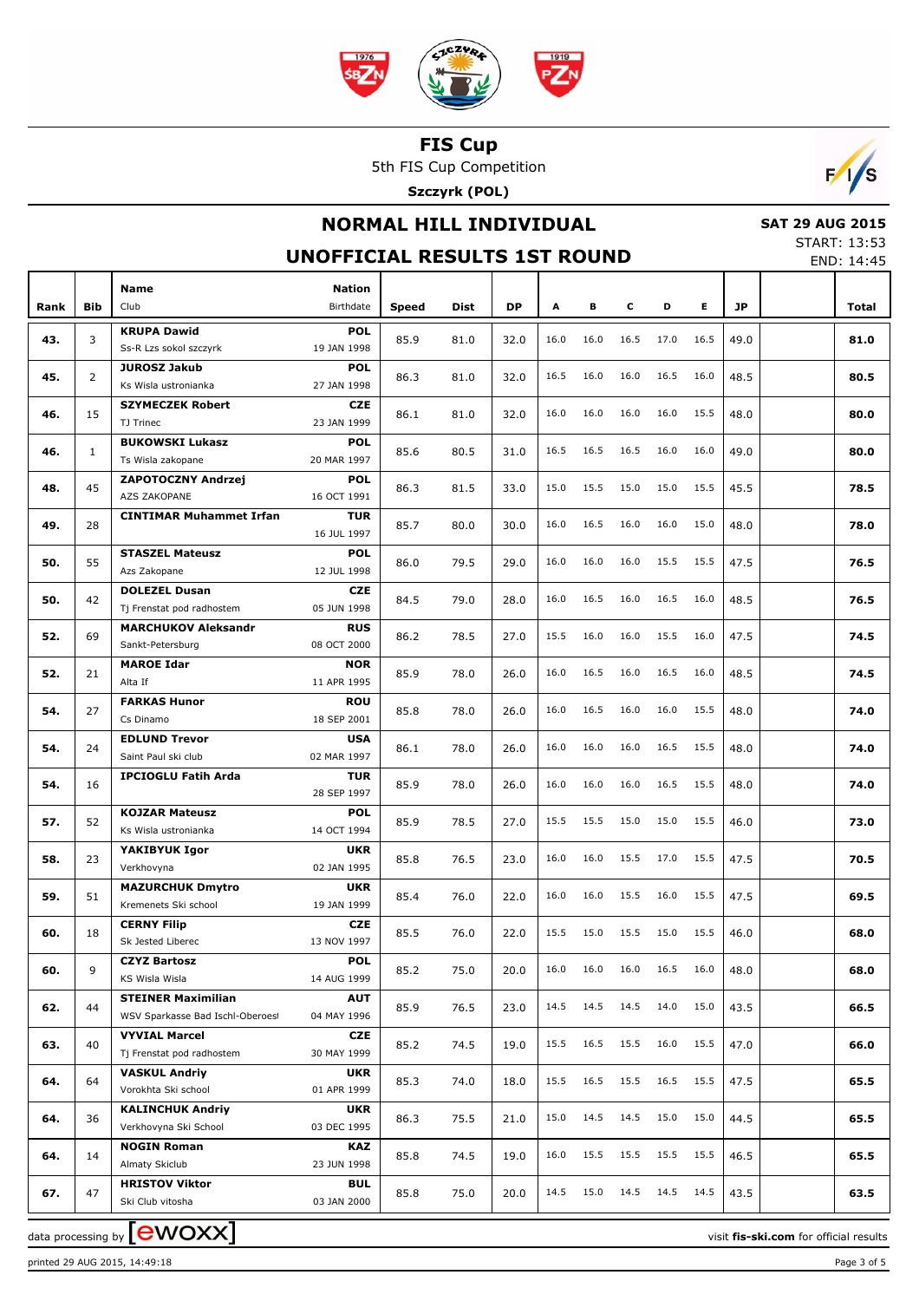

5th FIS Cup Competition

**Szczyrk (POL)**



## **NORMAL HILL INDIVIDUAL**

 **SAT 29 AUG 2015** START: 13:53

END: 14:45

#### **UNOFFICIAL RESULTS 1ST ROUND** Club Birthdate **Nation Rank Speed Dist DP A B C D E JP Total POL** 19 JAN 1998 **43.**  $\begin{bmatrix} 3 \end{bmatrix}$  **KKUPA Dawld 81.0 POL 85.9** 81.0 **81.0 81.0 81.0 81.0 81.0 81.0 POL** 27 JAN 1998 **CZE**

|     |              | Ss-R Lzs sokol szczyrk                            | 19 JAN 1998               |      |      |      |      |      |           |      |      |      |      |  |
|-----|--------------|---------------------------------------------------|---------------------------|------|------|------|------|------|-----------|------|------|------|------|--|
| 45. | 2            | <b>JUROSZ Jakub</b>                               | <b>POL</b>                | 86.3 | 81.0 | 32.0 | 16.5 | 16.0 | 16.0      | 16.5 | 16.0 | 48.5 | 80.5 |  |
|     |              | Ks Wisla ustronianka                              | 27 JAN 1998               |      |      |      |      |      |           |      |      |      |      |  |
| 46. | 15           | <b>SZYMECZEK Robert</b>                           | <b>CZE</b>                | 86.1 | 81.0 | 32.0 | 16.0 | 16.0 | 16.0      | 16.0 | 15.5 | 48.0 | 80.0 |  |
|     |              | TJ Trinec                                         | 23 JAN 1999               |      |      |      |      |      |           |      |      |      |      |  |
| 46. | $\mathbf{1}$ | <b>BUKOWSKI Lukasz</b><br>Ts Wisla zakopane       | POL<br>20 MAR 1997        | 85.6 | 80.5 | 31.0 | 16.5 | 16.5 | 16.5      | 16.0 | 16.0 | 49.0 | 80.0 |  |
|     |              | ZAPOTOCZNY Andrzej                                | <b>POL</b>                |      |      |      |      |      |           |      |      |      |      |  |
| 48. | 45           | AZS ZAKOPANE                                      | 16 OCT 1991               | 86.3 | 81.5 | 33.0 | 15.0 | 15.5 | 15.0      | 15.0 | 15.5 | 45.5 | 78.5 |  |
|     |              | <b>CINTIMAR Muhammet Irfan</b>                    | <b>TUR</b>                |      |      |      |      |      |           |      |      |      |      |  |
| 49. | 28           |                                                   | 16 JUL 1997               | 85.7 | 80.0 | 30.0 | 16.0 | 16.5 | 16.0      | 16.0 | 15.0 | 48.0 | 78.0 |  |
|     |              | <b>STASZEL Mateusz</b>                            | <b>POL</b>                |      |      |      |      |      |           |      |      |      |      |  |
| 50. | 55           | Azs Zakopane                                      | 12 JUL 1998               | 86.0 | 79.5 | 29.0 | 16.0 | 16.0 | 16.0      | 15.5 | 15.5 | 47.5 | 76.5 |  |
| 50. | 42           | <b>DOLEZEL Dusan</b>                              | <b>CZE</b>                | 84.5 | 79.0 | 28.0 | 16.0 | 16.5 | 16.0      | 16.5 | 16.0 | 48.5 | 76.5 |  |
|     |              | Tj Frenstat pod radhostem                         | 05 JUN 1998               |      |      |      |      |      |           |      |      |      |      |  |
| 52. | 69           | <b>MARCHUKOV Aleksandr</b>                        | <b>RUS</b>                | 86.2 | 78.5 | 27.0 | 15.5 | 16.0 | 16.0      | 15.5 | 16.0 | 47.5 | 74.5 |  |
|     |              | Sankt-Petersburg                                  | 08 OCT 2000               |      |      |      |      |      |           |      |      |      |      |  |
| 52. | 21           | <b>MAROE Idar</b>                                 | <b>NOR</b>                | 85.9 | 78.0 | 26.0 | 16.0 | 16.5 | 16.0      | 16.5 | 16.0 | 48.5 | 74.5 |  |
|     |              | Alta If                                           | 11 APR 1995               |      |      |      |      |      |           |      |      |      |      |  |
| 54. | 27           | <b>FARKAS Hunor</b>                               | <b>ROU</b>                | 85.8 | 78.0 | 26.0 | 16.0 | 16.5 | 16.0      | 16.0 | 15.5 | 48.0 | 74.0 |  |
|     |              | Cs Dinamo                                         | 18 SEP 2001               |      |      |      |      |      |           |      |      |      |      |  |
| 54. | 24           | <b>EDLUND Trevor</b><br>Saint Paul ski club       | <b>USA</b><br>02 MAR 1997 | 86.1 | 78.0 | 26.0 | 16.0 | 16.0 | 16.0      | 16.5 | 15.5 | 48.0 | 74.0 |  |
|     |              | <b>IPCIOGLU Fatih Arda</b>                        | <b>TUR</b>                |      |      |      |      |      |           |      |      |      |      |  |
| 54. | 16           |                                                   | 28 SEP 1997               | 85.9 | 78.0 | 26.0 | 16.0 | 16.0 | 16.0      | 16.5 | 15.5 | 48.0 | 74.0 |  |
|     |              | <b>KOJZAR Mateusz</b>                             | <b>POL</b>                |      |      |      |      |      |           |      |      |      |      |  |
| 57. | 52           | Ks Wisla ustronianka                              | 14 OCT 1994               | 85.9 | 78.5 | 27.0 | 15.5 | 15.5 | 15.0      | 15.0 | 15.5 | 46.0 | 73.0 |  |
|     |              | YAKIBYUK Igor                                     | <b>UKR</b>                |      |      |      |      |      |           |      |      |      |      |  |
| 58. | 23           | Verkhovyna                                        | 02 JAN 1995               | 85.8 | 76.5 | 23.0 | 16.0 | 16.0 | 15.5      | 17.0 | 15.5 | 47.5 | 70.5 |  |
| 59. | 51           | <b>MAZURCHUK Dmytro</b>                           | <b>UKR</b>                | 85.4 | 76.0 | 22.0 | 16.0 | 16.0 | 15.5      | 16.0 | 15.5 | 47.5 | 69.5 |  |
|     |              | Kremenets Ski school                              | 19 JAN 1999               |      |      |      |      |      |           |      |      |      |      |  |
| 60. | 18           | <b>CERNY Filip</b>                                | <b>CZE</b>                | 85.5 | 76.0 | 22.0 | 15.5 | 15.0 | 15.5      | 15.0 | 15.5 | 46.0 | 68.0 |  |
|     |              | Sk Jested Liberec                                 | 13 NOV 1997               |      |      |      |      |      |           |      |      |      |      |  |
| 60. | 9            | <b>CZYZ Bartosz</b>                               | <b>POL</b>                | 85.2 | 75.0 | 20.0 | 16.0 | 16.0 | 16.0      | 16.5 | 16.0 | 48.0 | 68.0 |  |
|     |              | KS Wisla Wisla                                    | 14 AUG 1999               |      |      |      |      |      |           |      |      |      |      |  |
| 62. | 44           | <b>STEINER Maximilian</b>                         | <b>AUT</b><br>04 MAY 1996 | 85.9 | 76.5 | 23.0 | 14.5 | 14.5 | 14.5      | 14.0 | 15.0 | 43.5 | 66.5 |  |
|     |              | WSV Sparkasse Bad Ischl-Oberoest                  | <b>CZE</b>                |      |      |      |      |      |           |      |      |      |      |  |
| 63. | 40           | <b>VYVIAL Marcel</b><br>Tj Frenstat pod radhostem | 30 MAY 1999               | 85.2 | 74.5 | 19.0 | 15.5 | 16.5 | 15.5 16.0 |      | 15.5 | 47.0 | 66.0 |  |
|     |              | <b>VASKUL Andriy</b>                              | <b>UKR</b>                |      |      |      |      |      |           |      |      |      |      |  |
| 64. | 64           | Vorokhta Ski school                               | 01 APR 1999               | 85.3 | 74.0 | 18.0 | 15.5 | 16.5 | 15.5      | 16.5 | 15.5 | 47.5 | 65.5 |  |
|     |              | <b>KALINCHUK Andriy</b>                           | <b>UKR</b>                |      |      |      |      |      |           |      |      |      |      |  |
| 64. | 36           | Verkhovyna Ski School                             | 03 DEC 1995               | 86.3 | 75.5 | 21.0 | 15.0 | 14.5 | 14.5      | 15.0 | 15.0 | 44.5 | 65.5 |  |
|     |              | <b>NOGIN Roman</b>                                | KAZ                       |      |      |      |      |      |           |      |      |      |      |  |
| 64. | 14           | Almaty Skiclub                                    | 23 JUN 1998               | 85.8 | 74.5 | 19.0 | 16.0 | 15.5 | 15.5      | 15.5 | 15.5 | 46.5 | 65.5 |  |
|     |              | <b>HRISTOV Viktor</b>                             | BUL                       |      |      |      |      |      |           |      |      |      |      |  |
| 67. | 47           | Ski Club vitosha                                  | 03 JAN 2000               | 85.8 | 75.0 | 20.0 | 14.5 | 15.0 | 14.5      | 14.5 | 14.5 | 43.5 | 63.5 |  |
|     |              | $\Gamma$ and $\Gamma$ and $\Gamma$                |                           |      |      |      |      |      |           |      |      |      |      |  |

printed 29 AUG 2015, 14:49:18 Page 3 of 5

**Bib**

**Name**

**KRUPA Dawid**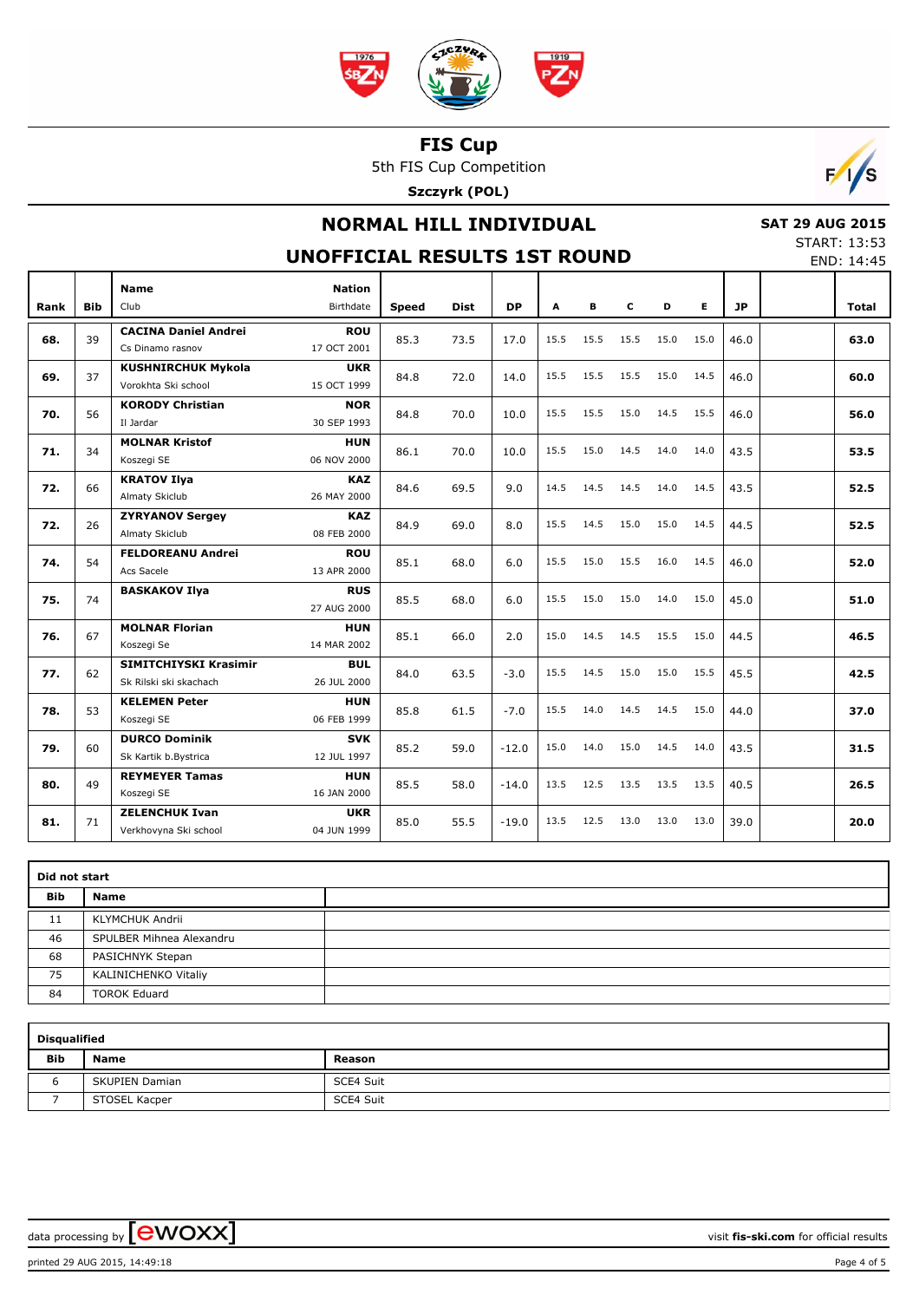

5th FIS Cup Competition

**Szczyrk (POL)**



### **NORMAL HILL INDIVIDUAL**

# **SAT 29 AUG 2015**

**UNOFFICIAL RESULTS 1ST ROUND**

| <b>START: 13:53</b> |            |
|---------------------|------------|
|                     | END: 14:45 |

|      |            |                                                        |                            |              |             |           |      |      |      |      |      |           | ᄂ๊៶៴៓ ៲ጘ.ጘ៴ |
|------|------------|--------------------------------------------------------|----------------------------|--------------|-------------|-----------|------|------|------|------|------|-----------|-------------|
| Rank | <b>Bib</b> | <b>Name</b><br>Club                                    | <b>Nation</b><br>Birthdate | <b>Speed</b> | <b>Dist</b> | <b>DP</b> | A    | в    | c    | D    | Е    | <b>JP</b> | Total       |
| 68.  | 39         | <b>CACINA Daniel Andrei</b><br>Cs Dinamo rasnov        | <b>ROU</b><br>17 OCT 2001  | 85.3         | 73.5        | 17.0      | 15.5 | 15.5 | 15.5 | 15.0 | 15.0 | 46.0      | 63.0        |
| 69.  | 37         | <b>KUSHNIRCHUK Mykola</b><br>Vorokhta Ski school       | <b>UKR</b><br>15 OCT 1999  | 84.8         | 72.0        | 14.0      | 15.5 | 15.5 | 15.5 | 15.0 | 14.5 | 46.0      | 60.0        |
| 70.  | 56         | <b>KORODY Christian</b><br>Il Jardar                   | <b>NOR</b><br>30 SEP 1993  | 84.8         | 70.0        | 10.0      | 15.5 | 15.5 | 15.0 | 14.5 | 15.5 | 46.0      | 56.0        |
| 71.  | 34         | <b>MOLNAR Kristof</b><br>Koszegi SE                    | <b>HUN</b><br>06 NOV 2000  | 86.1         | 70.0        | 10.0      | 15.5 | 15.0 | 14.5 | 14.0 | 14.0 | 43.5      | 53.5        |
| 72.  | 66         | <b>KRATOV Ilya</b><br>Almaty Skiclub                   | <b>KAZ</b><br>26 MAY 2000  | 84.6         | 69.5        | 9.0       | 14.5 | 14.5 | 14.5 | 14.0 | 14.5 | 43.5      | 52.5        |
| 72.  | 26         | <b>ZYRYANOV Sergey</b><br>Almaty Skiclub               | <b>KAZ</b><br>08 FEB 2000  | 84.9         | 69.0        | 8.0       | 15.5 | 14.5 | 15.0 | 15.0 | 14.5 | 44.5      | 52.5        |
| 74.  | 54         | <b>FELDOREANU Andrei</b><br>Acs Sacele                 | <b>ROU</b><br>13 APR 2000  | 85.1         | 68.0        | 6.0       | 15.5 | 15.0 | 15.5 | 16.0 | 14.5 | 46.0      | 52.0        |
| 75.  | 74         | <b>BASKAKOV Ilya</b>                                   | <b>RUS</b><br>27 AUG 2000  | 85.5         | 68.0        | 6.0       | 15.5 | 15.0 | 15.0 | 14.0 | 15.0 | 45.0      | 51.0        |
| 76.  | 67         | <b>MOLNAR Florian</b><br>Koszegi Se                    | <b>HUN</b><br>14 MAR 2002  | 85.1         | 66.0        | 2.0       | 15.0 | 14.5 | 14.5 | 15.5 | 15.0 | 44.5      | 46.5        |
| 77.  | 62         | <b>SIMITCHIYSKI Krasimir</b><br>Sk Rilski ski skachach | <b>BUL</b><br>26 JUL 2000  | 84.0         | 63.5        | $-3.0$    | 15.5 | 14.5 | 15.0 | 15.0 | 15.5 | 45.5      | 42.5        |
| 78.  | 53         | <b>KELEMEN Peter</b><br>Koszegi SE                     | <b>HUN</b><br>06 FEB 1999  | 85.8         | 61.5        | $-7.0$    | 15.5 | 14.0 | 14.5 | 14.5 | 15.0 | 44.0      | 37.0        |
| 79.  | 60         | <b>DURCO Dominik</b><br>Sk Kartik b.Bystrica           | <b>SVK</b><br>12 JUL 1997  | 85.2         | 59.0        | $-12.0$   | 15.0 | 14.0 | 15.0 | 14.5 | 14.0 | 43.5      | 31.5        |
| 80.  | 49         | <b>REYMEYER Tamas</b><br>Koszegi SE                    | <b>HUN</b><br>16 JAN 2000  | 85.5         | 58.0        | $-14.0$   | 13.5 | 12.5 | 13.5 | 13.5 | 13.5 | 40.5      | 26.5        |
| 81.  | 71         | <b>ZELENCHUK Ivan</b><br>Verkhovyna Ski school         | <b>UKR</b><br>04 JUN 1999  | 85.0         | 55.5        | $-19.0$   | 13.5 | 12.5 | 13.0 | 13.0 | 13.0 | 39.0      | 20.0        |

|            | Did not start            |  |  |  |  |  |  |  |  |  |
|------------|--------------------------|--|--|--|--|--|--|--|--|--|
| <b>Bib</b> | Name                     |  |  |  |  |  |  |  |  |  |
| 11         | KLYMCHUK Andrii          |  |  |  |  |  |  |  |  |  |
| 46         | SPULBER Mihnea Alexandru |  |  |  |  |  |  |  |  |  |
| 68         | PASICHNYK Stepan         |  |  |  |  |  |  |  |  |  |
| 75         | KALINICHENKO Vitaliy     |  |  |  |  |  |  |  |  |  |
| 84         | <b>TOROK Eduard</b>      |  |  |  |  |  |  |  |  |  |

|            | <b>Disqualified</b>   |           |  |  |  |  |  |  |  |  |  |
|------------|-----------------------|-----------|--|--|--|--|--|--|--|--|--|
| <b>Bib</b> | Name                  | Reason    |  |  |  |  |  |  |  |  |  |
|            | <b>SKUPIEN Damian</b> | SCE4 Suit |  |  |  |  |  |  |  |  |  |
|            | STOSEL Kacper         | SCE4 Suit |  |  |  |  |  |  |  |  |  |

data processing by **CWOXX**  $\blacksquare$  **CWOXX** atta **compared to the set of the set of the set of official results**